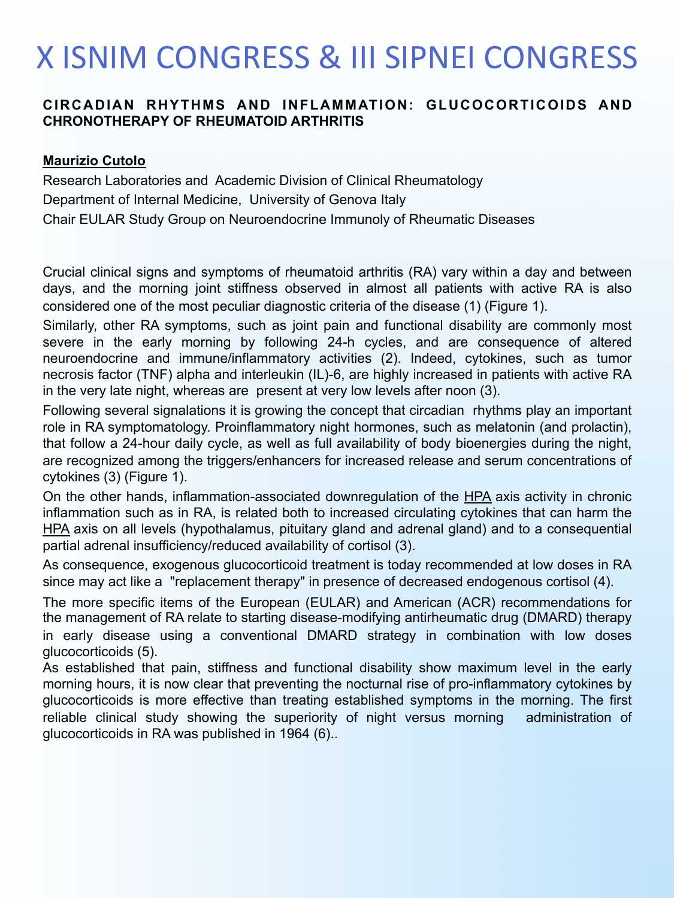### **X ISNIM CONGRESS & III SIPNEI CONGRESS**

### **CIRCADIAN RHYTHMS AND INFLAMMATION: GLUCOCORTICOIDS AND CHRONOTHERAPY OF RHEUMATOID ARTHRITIS**

#### **Maurizio Cutolo**

Research Laboratories and Academic Division of Clinical Rheumatology Department of Internal Medicine, University of Genova Italy Chair EULAR Study Group on Neuroendocrine Immunoly of Rheumatic Diseases

Crucial clinical signs and symptoms of rheumatoid arthritis (RA) vary within a day and between days, and the morning joint stiffness observed in almost all patients with active RA is also considered one of the most peculiar diagnostic criteria of the disease (1) (Figure 1).

Similarly, other RA symptoms, such as joint pain and functional disability are commonly most severe in the early morning by following 24-h cycles, and are consequence of altered neuroendocrine and immune/inflammatory activities (2). Indeed, cytokines, such as tumor necrosis factor (TNF) alpha and interleukin (IL)-6, are highly increased in patients with active RA in the very late night, whereas are present at very low levels after noon (3).

Following several signalations it is growing the concept that circadian rhythms play an important role in RA symptomatology. Proinflammatory night hormones, such as melatonin (and prolactin), that follow a 24-hour daily cycle, as well as full availability of body bioenergies during the night, are recognized among the triggers/enhancers for increased release and serum concentrations of cytokines (3) (Figure 1).

On the other hands, inflammation-associated downregulation of the HPA axis activity in chronic inflammation such as in RA, is related both to increased circulating cytokines that can harm the HPA axis on all levels (hypothalamus, pituitary gland and adrenal gland) and to a consequential partial adrenal insufficiency/reduced availability of cortisol (3).

As consequence, exogenous glucocorticoid treatment is today recommended at low doses in RA since may act like a "replacement therapy" in presence of decreased endogenous cortisol (4).

The more specific items of the European (EULAR) and American (ACR) recommendations for the management of RA relate to starting disease-modifying antirheumatic drug (DMARD) therapy in early disease using a conventional DMARD strategy in combination with low doses glucocorticoids (5).

As established that pain, stiffness and functional disability show maximum level in the early morning hours, it is now clear that preventing the nocturnal rise of pro-inflammatory cytokines by glucocorticoids is more effective than treating established symptoms in the morning. The first reliable clinical study showing the superiority of night versus morning administration of glucocorticoids in RA was published in 1964 (6)..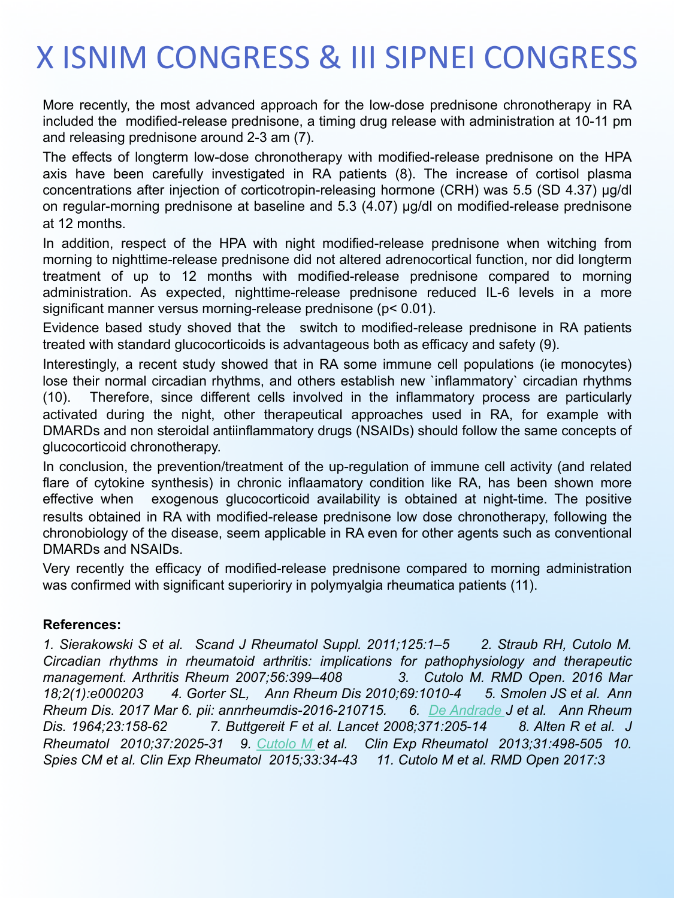## **X ISNIM CONGRESS & III SIPNEI CONGRESS**

More recently, the most advanced approach for the low-dose prednisone chronotherapy in RA included the modified-release prednisone, a timing drug release with administration at 10-11 pm and releasing prednisone around 2-3 am (7).

The effects of longterm low-dose chronotherapy with modified-release prednisone on the HPA axis have been carefully investigated in RA patients (8). The increase of cortisol plasma concentrations after injection of corticotropin-releasing hormone (CRH) was 5.5 (SD 4.37) µg/dl on regular-morning prednisone at baseline and 5.3 (4.07) µg/dl on modified-release prednisone at 12 months.

In addition, respect of the HPA with night modified-release prednisone when witching from morning to nighttime-release prednisone did not altered adrenocortical function, nor did longterm treatment of up to 12 months with modified-release prednisone compared to morning administration. As expected, nighttime-release prednisone reduced IL-6 levels in a more significant manner versus morning-release prednisone (p< 0.01).

Evidence based study shoved that the switch to modified-release prednisone in RA patients treated with standard glucocorticoids is advantageous both as efficacy and safety (9).

Interestingly, a recent study showed that in RA some immune cell populations (ie monocytes) lose their normal circadian rhythms, and others establish new `inflammatory` circadian rhythms (10). Therefore, since different cells involved in the inflammatory process are particularly activated during the night, other therapeutical approaches used in RA, for example with DMARDs and non steroidal antiinflammatory drugs (NSAIDs) should follow the same concepts of glucocorticoid chronotherapy.

In conclusion, the prevention/treatment of the up-regulation of immune cell activity (and related flare of cytokine synthesis) in chronic inflaamatory condition like RA, has been shown more effective when exogenous glucocorticoid availability is obtained at night-time. The positive results obtained in RA with modified-release prednisone low dose chronotherapy, following the chronobiology of the disease, seem applicable in RA even for other agents such as conventional DMARDs and NSAIDs.

Very recently the efficacy of modified-release prednisone compared to morning administration was confirmed with significant superioriry in polymyalgia rheumatica patients (11).

#### **References:**

*1. Sierakowski S et al. Scand J Rheumatol Suppl. 2011;125:1–5 2. Straub RH, Cutolo M. Circadian rhythms in rheumatoid arthritis: implications for pathophysiology and therapeutic management. Arthritis Rheum 2007;56:399–408 3. Cutolo M. RMD Open. 2016 Mar 18;2(1):e000203 4. Gorter SL, Ann Rheum Dis 2010;69:1010-4 5. Smolen JS et al. Ann Rheum Dis. 2017 Mar 6. pii: annrheumdis-2016-210715. 6. De Andrade J et al. Ann Rheum Dis. 1964;23:158-62 7. Buttgereit F et al. Lancet 2008;371:205-14 8. Alten R et al. J Rheumatol 2010;37:2025-31 9. Cutolo M et al. Clin Exp Rheumatol 2013;31:498-505 10. Spies CM et al. Clin Exp Rheumatol 2015;33:34-43 11. Cutolo M et al. RMD Open 2017:3*